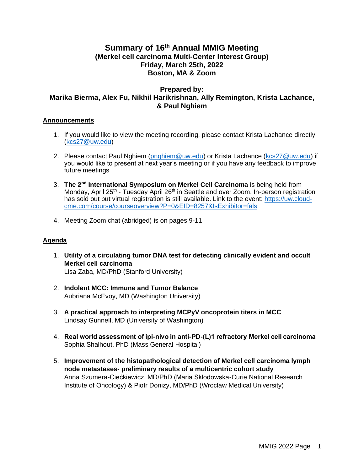# **Summary of 16 th Annual MMIG Meeting (Merkel cell carcinoma Multi-Center Interest Group) Friday, March 25th, 2022 Boston, MA & Zoom**

## **Prepared by: Marika Bierma, Alex Fu, Nikhil Harikrishnan, Ally Remington, Krista Lachance, & Paul Nghiem**

#### **Announcements**

- 1. If you would like to view the meeting recording, please contact Krista Lachance directly [\(kcs27@uw.edu\)](mailto:kcs27@uw.edu)
- 2. Please contact Paul Nghiem [\(pnghiem@uw.edu\)](mailto:pnghiem@uw.edu) or Krista Lachance [\(kcs27@uw.edu\)](mailto:kcs27@uw.edu) if you would like to present at next year's meeting or if you have any feedback to improve future meetings
- 3. The 2<sup>nd</sup> International Symposium on Merkel Cell Carcinoma is being held from Monday, April 25<sup>th</sup> - Tuesday April 26<sup>th</sup> in Seattle and over Zoom. In-person registration has sold out but virtual registration is still available. Link to the event: [https://uw.cloud](https://uw.cloud-cme.com/course/courseoverview?P=0&EID=8257&IsExhibitor=fals)[cme.com/course/courseoverview?P=0&EID=8257&IsExhibitor=fals](https://uw.cloud-cme.com/course/courseoverview?P=0&EID=8257&IsExhibitor=fals)
- 4. Meeting Zoom chat (abridged) is on pages 9-11

#### **Agenda**

- 1. **Utility of a circulating tumor DNA test for detecting clinically evident and occult Merkel cell carcinoma** Lisa Zaba, MD/PhD (Stanford University)
- 2. **Indolent MCC: Immune and Tumor Balance** Aubriana McEvoy, MD (Washington University)
- 3. **A practical approach to interpreting MCPyV oncoprotein titers in MCC** Lindsay Gunnell, MD (University of Washington)
- 4. **Real world assessment of ipi-nivo in anti-PD-(L)1 refractory Merkel cell carcinoma** Sophia Shalhout, PhD (Mass General Hospital)
- 5. **Improvement of the histopathological detection of Merkel cell carcinoma lymph node metastases- preliminary results of a multicentric cohort study** Anna Szumera-Ciećkiewicz, MD/PhD (Maria Sklodowska-Curie National Research Institute of Oncology) & Piotr Donizy, MD/PhD (Wroclaw Medical University)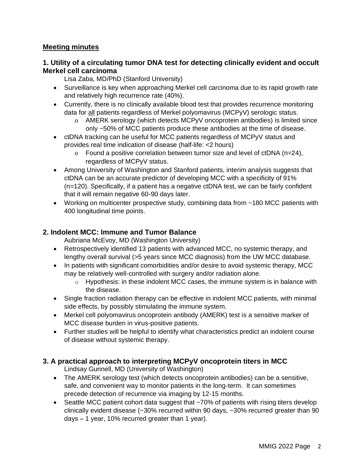# **Meeting minutes**

## **1. Utility of a circulating tumor DNA test for detecting clinically evident and occult Merkel cell carcinoma**

Lisa Zaba, MD/PhD (Stanford University)

- Surveillance is key when approaching Merkel cell carcinoma due to its rapid growth rate and relatively high recurrence rate (40%).
- Currently, there is no clinically available blood test that provides recurrence monitoring data for all patients regardless of Merkel polyomavirus (MCPyV) serologic status.
	- o AMERK serology (which detects MCPyV oncoprotein antibodies) is limited since only ~50% of MCC patients produce these antibodies at the time of disease.
- ctDNA tracking can be useful for MCC patients regardless of MCPyV status and provides real time indication of disease (half-life: <2 hours)
	- o Found a positive correlation between tumor size and level of ctDNA (n=24), regardless of MCPyV status.
- Among University of Washington and Stanford patients, interim analysis suggests that ctDNA can be an accurate predictor of developing MCC with a specificity of 91% (n=120). Specifically, if a patient has a negative ctDNA test, we can be fairly confident that it will remain negative 60-90 days later.
- Working on multicenter prospective study, combining data from ~180 MCC patients with 400 longitudinal time points.

## **2. Indolent MCC: Immune and Tumor Balance**

Aubriana McEvoy, MD (Washington University)

- Retrospectively identified 13 patients with advanced MCC, no systemic therapy, and lengthy overall survival (>5 years since MCC diagnosis) from the UW MCC database.
- In patients with significant comorbidities and/or desire to avoid systemic therapy, MCC may be relatively well-controlled with surgery and/or radiation alone.
	- o Hypothesis: in these indolent MCC cases, the immune system is in balance with the disease.
- Single fraction radiation therapy can be effective in indolent MCC patients, with minimal side effects, by possibly stimulating the immune system.
- Merkel cell polyomavirus oncoprotein antibody (AMERK) test is a sensitive marker of MCC disease burden in virus-positive patients.
- Further studies will be helpful to identify what characteristics predict an indolent course of disease without systemic therapy.

# **3. A practical approach to interpreting MCPyV oncoprotein titers in MCC**

Lindsay Gunnell, MD (University of Washington)

- The AMERK serology test (which detects oncoprotein antibodies) can be a sensitive, safe, and convenient way to monitor patients in the long-term. It can sometimes precede detection of recurrence via imaging by 12-15 months.
- Seattle MCC patient cohort data suggest that ~70% of patients with rising titers develop clinically evident disease (~30% recurred within 90 days, ~30% recurred greater than 90 days – 1 year, 10% recurred greater than 1 year).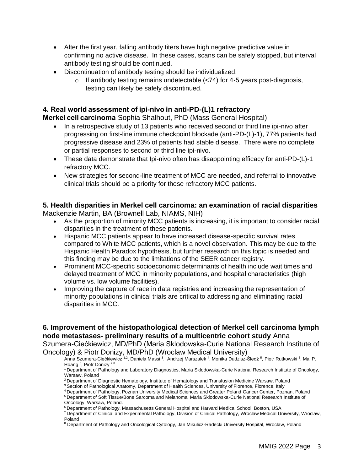- After the first year, falling antibody titers have high negative predictive value in confirming no active disease. In these cases, scans can be safely stopped, but interval antibody testing should be continued.
- Discontinuation of antibody testing should be individualized.
	- $\circ$  If antibody testing remains undetectable ( $\lt$ 74) for 4-5 years post-diagnosis, testing can likely be safely discontinued.

## **4. Real world assessment of ipi-nivo in anti-PD-(L)1 refractory**

**Merkel cell carcinoma** Sophia Shalhout, PhD (Mass General Hospital)

- In a retrospective study of 13 patients who received second or third line ipi-nivo after progressing on first-line immune checkpoint blockade (anti-PD-(L)-1), 77% patients had progressive disease and 23% of patients had stable disease. There were no complete or partial responses to second or third line ipi-nivo.
- These data demonstrate that Ipi-nivo often has disappointing efficacy for anti-PD-(L)-1 refractory MCC.
- New strategies for second-line treatment of MCC are needed, and referral to innovative clinical trials should be a priority for these refractory MCC patients.

### **5. Health disparities in Merkel cell carcinoma: an examination of racial disparities**  Mackenzie Martin, BA (Brownell Lab, NIAMS, NIH)

- As the proportion of minority MCC patients is increasing, it is important to consider racial disparities in the treatment of these patients.
- Hispanic MCC patients appear to have increased disease-specific survival rates compared to White MCC patients, which is a novel observation. This may be due to the Hispanic Health Paradox hypothesis, but further research on this topic is needed and this finding may be due to the limitations of the SEER cancer registry.
- Prominent MCC-specific socioeconomic determinants of health include wait times and delayed treatment of MCC in minority populations, and hospital characteristics (high volume vs. low volume facilities).
- Improving the capture of race in data registries and increasing the representation of minority populations in clinical trials are critical to addressing and eliminating racial disparities in MCC.

**6. Improvement of the histopathological detection of Merkel cell carcinoma lymph node metastases- preliminary results of a multicentric cohort study** Anna Szumera-Ciećkiewicz, MD/PhD (Maria Sklodowska-Curie National Research Institute of Oncology) & Piotr Donizy, MD/PhD (Wroclaw Medical University)

Anna Szumera-Ciećkiewicz <sup>1,2</sup>, Daniela Massi <sup>3</sup>, Andrzej Marszalek <sup>4</sup>, Monika Dudzisz-Śledź <sup>5</sup>, Piotr Rutkowski <sup>5</sup>, Mai P. Hoang<sup>6</sup>, Piotr Donizy<sup>7,8</sup>

<sup>1</sup>Department of Pathology and Laboratory Diagnostics, Maria Sklodowska-Curie National Research Institute of Oncology, Warsaw, Poland

<sup>2</sup> Department of Diagnostic Hematology, Institute of Hematology and Transfusion Medicine Warsaw, Poland

<sup>3</sup> Section of Pathological Anatomy, Department of Health Sciences, University of Florence, Florence, Italy

<sup>4</sup>Department of Pathology, Poznan University Medical Sciences and Greater Poland Cancer Center, Poznan, Poland

<sup>5</sup>Department of Soft Tissue/Bone Sarcoma and Melanoma, Maria Sklodowska-Curie National Research Institute of Oncology, Warsaw, Poland.

<sup>6</sup> Department of Pathology, Massachusetts General Hospital and Harvard Medical School, Boston, USA

<sup>7</sup>Department of Clinical and Experimental Pathology, Division of Clinical Pathology, Wroclaw Medical University, Wroclaw, Poland

<sup>8</sup> Department of Pathology and Oncological Cytology, Jan Mikulicz-Radecki University Hospital, Wroclaw, Poland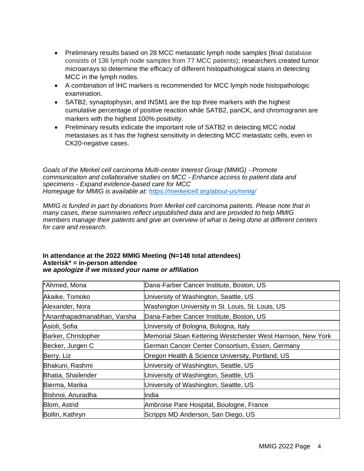- Preliminary results based on 28 MCC metastatic lymph node samples (final database consists of 136 lymph node samples from 77 MCC patients); researchers created tumor microarrays to determine the efficacy of different histopathological stains in detecting MCC in the lymph nodes.
- A combination of IHC markers is recommended for MCC lymph node histopathologic examination.
- SATB2, synaptophysin, and INSM1 are the top three markers with the highest cumulative percentage of positive reaction while SATB2, panCK, and chromogranin are markers with the highest 100% positivity.
- Preliminary results indicate the important role of SATB2 in detecting MCC nodal metastases as it has the highest sensitivity in detecting MCC metastatic cells, even in CK20-negative cases.

*Goals of the Merkel cell carcinoma Multi-center Interest Group (MMIG) - Promote communication and collaborative studies on MCC - Enhance access to patient data and specimens - Expand evidence-based care for MCC Homepage for MMIG is available at:<https://merkelcell.org/about-us/mmig/>*

*MMIG is funded in part by donations from Merkel cell carcinoma patients. Please note that in many cases, these summaries reflect unpublished data and are provided to help MMIG members manage their patients and give an overview of what is being done at different centers for care and research.*

| *Ahmed, Mona                | Dana-Farber Cancer Institute, Boston, US                     |
|-----------------------------|--------------------------------------------------------------|
| Akaike, Tomoko              | University of Washington, Seattle, US                        |
| Alexander, Nora             | Washington University in St. Louis, St. Louis, US            |
| *Ananthapadmanabhan, Varsha | Dana-Farber Cancer Institute, Boston, US                     |
| Asioli, Sofia               | University of Bologna, Bologna, Italy                        |
| Barker, Christopher         | Memorial Sloan Kettering Westchester West Harrison, New York |
| Becker, Jurgen C            | German Cancer Center Consortium, Essen, Germany              |
| Berry, Liz                  | Oregon Health & Science University, Portland, US             |
| Bhakuni, Rashmi             | University of Washington, Seattle, US                        |
| Bhatia, Shailender          | University of Washington, Seattle, US                        |
| Bierma, Marika              | University of Washington, Seattle, US                        |
| Bishnoi, Anuradha           | India                                                        |
| Blom, Astrid                | Ambroise Pare Hospital, Boulogne, France                     |
| Bollin, Kathryn             | Scripps MD Anderson, San Diego, US                           |

#### **In attendance at the 2022 MMIG Meeting (N=148 total attendees) Asterisk\* = in-person attendee** *we apologize if we missed your name or affiliation*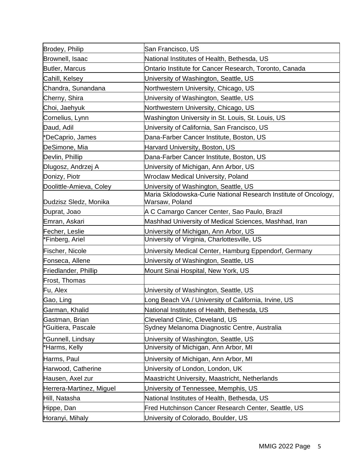| Brodey, Philip           | San Francisco, US                                                                 |
|--------------------------|-----------------------------------------------------------------------------------|
| Brownell, Isaac          | National Institutes of Health, Bethesda, US                                       |
| Butler, Marcus           | Ontario Institute for Cancer Research, Toronto, Canada                            |
| Cahill, Kelsey           | University of Washington, Seattle, US                                             |
| Chandra, Sunandana       | Northwestern University, Chicago, US                                              |
| Cherny, Shira            | University of Washington, Seattle, US                                             |
| Choi, Jaehyuk            | Northwestern University, Chicago, US                                              |
| Cornelius, Lynn          | Washington University in St. Louis, St. Louis, US                                 |
| Daud, Adil               | University of California, San Francisco, US                                       |
| *DeCaprio, James         | Dana-Farber Cancer Institute, Boston, US                                          |
| DeSimone, Mia            | Harvard University, Boston, US                                                    |
| Devlin, Phillip          | Dana-Farber Cancer Institute, Boston, US                                          |
| Dlugosz, Andrzej A       | University of Michigan, Ann Arbor, US                                             |
| Donizy, Piotr            | Wroclaw Medical University, Poland                                                |
| Doolittle-Amieva, Coley  | University of Washington, Seattle, US                                             |
| Dudzisz Sledz, Monika    | Maria Sklodowska-Curie National Research Institute of Oncology,<br>Warsaw, Poland |
| Duprat, Joao             | A C Camargo Cancer Center, Sao Paulo, Brazil                                      |
| Emran, Askari            | Mashhad University of Medical Sciences, Mashhad, Iran                             |
| Fecher, Leslie           | University of Michigan, Ann Arbor, US                                             |
| *Finberg, Ariel          | University of Virginia, Charlottesville, US                                       |
| Fischer, Nicole          | University Medical Center, Hamburg Eppendorf, Germany                             |
| Fonseca, Allene          | University of Washington, Seattle, US                                             |
| Friedlander, Phillip     | Mount Sinai Hospital, New York, US                                                |
| Frost, Thomas            |                                                                                   |
| Fu, Alex                 | University of Washington, Seattle, US                                             |
| Gao, Ling                | ong Beach VA / University of California, Irvine, US                               |
| Garman, Khalid           | National Institutes of Health, Bethesda, US                                       |
| Gastman, Brian           | Cleveland Clinic, Cleveland, US                                                   |
| *Guitiera, Pascale       | Sydney Melanoma Diagnostic Centre, Australia                                      |
| *Gunnell, Lindsay        | University of Washington, Seattle, US                                             |
| *Harms, Kelly            | University of Michigan, Ann Arbor, MI                                             |
| Harms, Paul              | University of Michigan, Ann Arbor, MI                                             |
| Harwood, Catherine       | University of London, London, UK                                                  |
| Hausen, Axel zur         | Maastricht University, Maastricht, Netherlands                                    |
| Herrera-Martinez, Miguel | University of Tennessee, Memphis, US                                              |
| Hill, Natasha            | National Institutes of Health, Bethesda, US                                       |
| Hippe, Dan               | Fred Hutchinson Cancer Research Center, Seattle, US                               |
| Horanyi, Mihaly          | University of Colorado, Boulder, US                                               |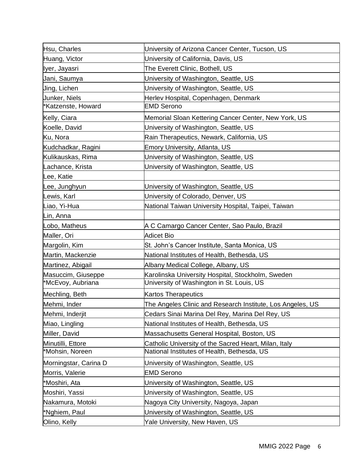| Hsu, Charles          | University of Arizona Cancer Center, Tucson, US            |
|-----------------------|------------------------------------------------------------|
| Huang, Victor         | University of California, Davis, US                        |
| Iyer, Jayasri         | The Everett Clinic, Bothell, US                            |
| Jani, Saumya          | University of Washington, Seattle, US                      |
| Jing, Lichen          | University of Washington, Seattle, US                      |
| Junker, Niels         | Herlev Hospital, Copenhagen, Denmark                       |
| Katzenste, Howard     | <b>EMD Serono</b>                                          |
| Kelly, Ciara          | Memorial Sloan Kettering Cancer Center, New York, US       |
| Koelle, David         | University of Washington, Seattle, US                      |
| Ku, Nora              | Rain Therapeutics, Newark, California, US                  |
| Kudchadkar, Ragini    | Emory University, Atlanta, US                              |
| Kulikauskas, Rima     | University of Washington, Seattle, US                      |
| Lachance, Krista      | University of Washington, Seattle, US                      |
| Lee, Katie            |                                                            |
| ee, Junghyun.         | University of Washington, Seattle, US                      |
| Lewis, Karl           | University of Colorado, Denver, US                         |
| Liao, Yi-Hua          | National Taiwan University Hospital, Taipei, Taiwan        |
| Lin, Anna             |                                                            |
| obo, Matheus          | A C Camargo Cancer Center, Sao Paulo, Brazil               |
| Maller, Ori           | <b>Adicet Bio</b>                                          |
| Margolin, Kim         | St. John's Cancer Institute, Santa Monica, US              |
| Martin, Mackenzie     | National Institutes of Health, Bethesda, US                |
| Martinez, Abigail     | Albany Medical College, Albany, US                         |
| Masuccim, Giuseppe    | Karolinska University Hospital, Stockholm, Sweden          |
| *McEvoy, Aubriana     | University of Washington in St. Louis, US                  |
| Mechling, Beth        | <b>Kartos Therapeutics</b>                                 |
| Mehmi, Inder          | The Angeles Clinic and Research Institute, Los Angeles, US |
| Mehmi, Inderjit       | Cedars Sinai Marina Del Rey, Marina Del Rey, US            |
| Miao, Lingling        | National Institutes of Health, Bethesda, US                |
| Miller, David         | Massachusetts General Hospital, Boston, US                 |
| Minutilli, Ettore     | Catholic University of the Sacred Heart, Milan, Italy      |
| *Mohsin, Noreen       | National Institutes of Health, Bethesda, US                |
| Morningstar, Carina D | University of Washington, Seattle, US                      |
| Morris, Valerie       | <b>EMD Serono</b>                                          |
| *Moshiri, Ata         | University of Washington, Seattle, US                      |
| Moshiri, Yassi        | University of Washington, Seattle, US                      |
| Nakamura, Motoki      | Nagoya City University, Nagoya, Japan                      |
| *Nghiem, Paul         | University of Washington, Seattle, US                      |
| Olino, Kelly          | Yale University, New Haven, US                             |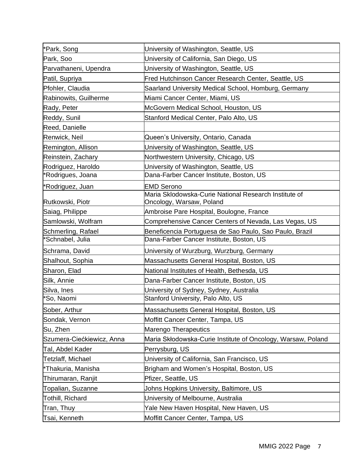| *Park, Song               | University of Washington, Seattle, US                                             |
|---------------------------|-----------------------------------------------------------------------------------|
| Park, Soo                 | University of California, San Diego, US                                           |
| Parvathaneni, Upendra     | University of Washington, Seattle, US                                             |
| Patil, Supriya            | Fred Hutchinson Cancer Research Center, Seattle, US                               |
| Pfohler, Claudia          | Saarland University Medical School, Homburg, Germany                              |
| Rabinowits, Guilherme     | Miami Cancer Center, Miami, US                                                    |
| Rady, Peter               | McGovern Medical School, Houston, US                                              |
| Reddy, Sunil              | Stanford Medical Center, Palo Alto, US                                            |
| Reed, Danielle            |                                                                                   |
| Renwick, Neil             | Queen's University, Ontario, Canada                                               |
| Remington, Allison        | University of Washington, Seattle, US                                             |
| Reinstein, Zachary        | Northwestern University, Chicago, US                                              |
| Rodriguez, Haroldo        | University of Washington, Seattle, US                                             |
| *Rodrigues, Joana         | Dana-Farber Cancer Institute, Boston, US                                          |
| *Rodriguez, Juan          | <b>EMD Serono</b>                                                                 |
| Rutkowski, Piotr          | Maria Sklodowska-Curie National Research Institute of<br>Oncology, Warsaw, Poland |
| Saiag, Philippe           | Ambroise Pare Hospital, Boulogne, France                                          |
| Samlowski, Wolfram        | Comprehensive Cancer Centers of Nevada, Las Vegas, US                             |
| Schmerling, Rafael        | Beneficencia Portuguesa de Sao Paulo, Sao Paulo, Brazil                           |
| *Schnabel, Julia          | Dana-Farber Cancer Institute, Boston, US                                          |
| Schrama, David            | University of Wurzburg, Wurzburg, Germany                                         |
| Shalhout, Sophia          | Massachusetts General Hospital, Boston, US                                        |
| Sharon, Elad              | National Institutes of Health, Bethesda, US                                       |
| Silk, Annie               | Dana-Farber Cancer Institute, Boston, US                                          |
| Silva, Ines               | University of Sydney, Sydney, Australia                                           |
| *So, Naomi                | Stanford University, Palo Alto, US                                                |
| Sober, Arthur             | Massachusetts General Hospital, Boston, US                                        |
| Sondak, Vernon            | Moffitt Cancer Center, Tampa, US                                                  |
| Su, Zhen                  | Marengo Therapeutics                                                              |
| Szumera-Ciećkiewicz, Anna | Maria Skłodowska-Curie Institute of Oncology, Warsaw, Poland                      |
| Tal, Abdel Kader          | Perrysburg, US                                                                    |
| Tetzlaff, Michael         | University of California, San Francisco, US                                       |
| *Thakuria, Manisha        | Brigham and Women's Hospital, Boston, US                                          |
| Thirumaran, Ranjit        | Pfizer, Seattle, US                                                               |
| Topalian, Suzanne         | Johns Hopkins University, Baltimore, US                                           |
| Tothill, Richard          | University of Melbourne, Australia                                                |
| Tran, Thuy                | Yale New Haven Hospital, New Haven, US                                            |
| Tsai, Kenneth             | Moffitt Cancer Center, Tampa, US                                                  |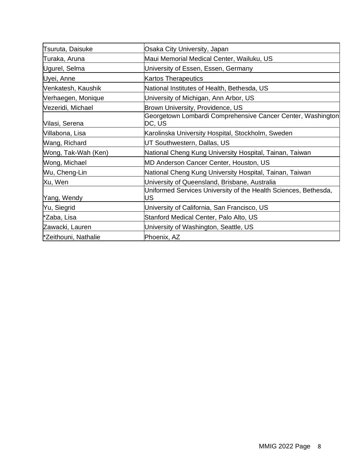| Tsuruta, Daisuke     | Osaka City University, Japan                                          |
|----------------------|-----------------------------------------------------------------------|
| Turaka, Aruna        | Maui Memorial Medical Center, Wailuku, US                             |
| Ugurel, Selma        | University of Essen, Essen, Germany                                   |
| Uyei, Anne           | <b>Kartos Therapeutics</b>                                            |
| Venkatesh, Kaushik   | National Institutes of Health, Bethesda, US                           |
| Verhaegen, Monique   | University of Michigan, Ann Arbor, US                                 |
| Vezeridi, Michael    | Brown University, Providence, US                                      |
| Vilasi, Serena       | Georgetown Lombardi Comprehensive Cancer Center, Washington<br>DC, US |
| Villabona, Lisa      | Karolinska University Hospital, Stockholm, Sweden                     |
| Wang, Richard        | UT Southwestern, Dallas, US                                           |
| Wong, Tak-Wah (Ken)  | National Cheng Kung University Hospital, Tainan, Taiwan               |
| Wong, Michael        | MD Anderson Cancer Center, Houston, US                                |
| Wu, Cheng-Lin        | National Cheng Kung University Hospital, Tainan, Taiwan               |
| Xu, Wen              | University of Queensland, Brisbane, Australia                         |
| Yang, Wendy          | Uniformed Services University of the Health Sciences, Bethesda,<br>US |
| Yu, Siegrid          | University of California, San Francisco, US                           |
| *Zaba, Lisa          | Stanford Medical Center, Palo Alto, US                                |
| Zawacki, Lauren      | University of Washington, Seattle, US                                 |
| *Zeithouni, Nathalie | Phoenix, AZ                                                           |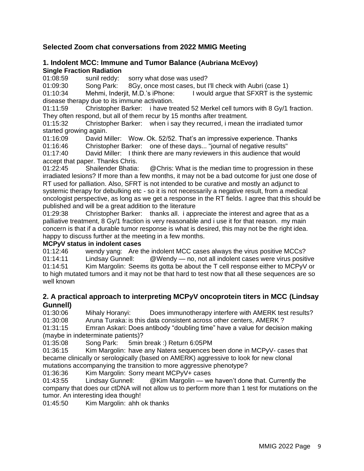## **Selected Zoom chat conversations from 2022 MMIG Meeting**

#### **1. Indolent MCC: Immune and Tumor Balance (Aubriana McEvoy) Single Fraction Radiation**

01:08:59 sunil reddy: sorry what dose was used?

01:09:30 Song Park: 8Gy, once most cases, but I'll check with Aubri (case 1)

01:10:34 Mehmi, Inderjit, M.D.'s iPhone: I would argue that SFXRT is the systemic disease therapy due to its immune activation.

01:11:59 Christopher Barker: i have treated 52 Merkel cell tumors with 8 Gy/1 fraction. They often respond, but all of them recur by 15 months after treatment.

01:15:32 Christopher Barker: when i say they recurred, i mean the irradiated tumor started growing again.

01:16:09 David Miller: Wow. Ok. 52/52. That's an impressive experience. Thanks 01:16:46 Christopher Barker: one of these days... "journal of negative results"

01:17:40 David Miller: I think there are many reviewers in this audience that would accept that paper. Thanks Chris.

01:22:45 Shailender Bhatia: @Chris: What is the median time to progression in these irradiated lesions? If more than a few months, it may not be a bad outcome for just one dose of RT used for palliation. Also, SFRT is not intended to be curative and mostly an adjunct to systemic therapy for debulking etc - so it is not necessarily a negative result, from a medical oncologist perspective, as long as we get a response in the RT fields. I agree that this should be published and will be a great addition to the literature

01:29:38 Christopher Barker: thanks all. i appreciate the interest and agree that as a palliative treatment, 8 Gy/1 fraction is very reasonable and i use it for that reason. my main concern is that if a durable tumor response is what is desired, this may not be the right idea. happy to discuss further at the meeting in a few months.

#### **MCPyV status in indolent cases**

01:12:46 wendy yang: Are the indolent MCC cases always the virus positive MCCs? 01:14:11 Lindsay Gunnell: @Wendy — no, not all indolent cases were virus positive 01:14:51 Kim Margolin: Seems its gotta be about the T cell response either to MCPyV or to high mutated tumors and it may not be that hard to test now that all these sequences are so well known

### **2. A practical approach to interpreting MCPyV oncoprotein titers in MCC (Lindsay Gunnell)**

01:30:06 Mihaly Horanyi: Does immunotherapy interfere with AMERK test results? 01:30:08 Aruna Turaka: is this data consistent across other centers, AMERK ?

01:31:15 Emran Askari: Does antibody "doubling time" have a value for decision making (maybe in indeterminate patients)?

01:35:08 Song Park: 5min break :) Return 6:05PM

01:36:15 Kim Margolin: have any Natera sequences been done in MCPyV- cases that became clinically or serologically (based on AMERK) aggressive to look for new clonal mutations accompanying the transition to more aggressive phenotype?

01:36:36 Kim Margolin: Sorry meant MCPyV+ cases

01:43:55 Lindsay Gunnell: @Kim Margolin — we haven't done that. Currently the company that does our ctDNA will not allow us to perform more than 1 test for mutations on the tumor. An interesting idea though!

01:45:50 Kim Margolin: ahh ok thanks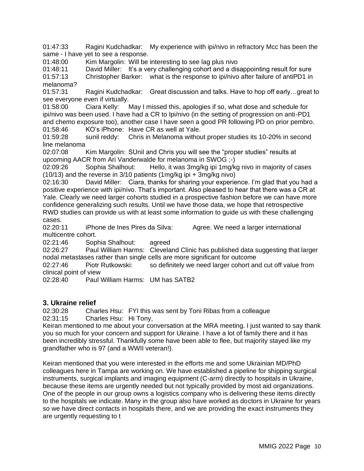01:47:33 Ragini Kudchadkar: My experience with ipi/nivo in refractory Mcc has been the same - I have yet to see a response.

01:48:00 Kim Margolin: Will be interesting to see lag plus nivo

01:48:11 David Miller: It's a very challenging cohort and a disappointing result for sure

01:57:13 Christopher Barker: what is the response to ipi/nivo after failure of antiPD1 in melanoma?

01:57:31 Ragini Kudchadkar: Great discussion and talks. Have to hop off early…great to see everyone even if virtually.

01:58:00 Ciara Kelly: May I missed this, apologies if so, what dose and schedule for ipi/nivo was been used. I have had a CR to Ipi/nivo (in the setting of progression on anti-PD1 and chemo exposure too), another case I have seen a good PR following PD on prior pembro. 01:58:46 KO's iPhone: Have CR as well at Yale.

01:59:28 sunil reddy: Chris in Melanoma without proper studies its 10-20% in second line melanoma

02:07:08 Kim Margolin: SUnil and Chris you will see the "proper studies" results at upcoming AACR from Ari Vanderwalde for melanoma in SWOG ;-)

02:09:26 Sophia Shalhout: Hello, it was 3mg/kg ipi 1mg/kg nivo in majority of cases (10/13) and the reverse in 3/10 patients (1mg/kg ipi + 3mg/kg nivo)

02:16:30 David Miller: Ciara, thanks for sharing your experience. I'm glad that you had a positive experience with ipi/nivo. That's important. Also pleased to hear that there was a CR at Yale. Clearly we need larger cohorts studied in a prospective fashion before we can have more confidence generalizing such results. Until we have those data, we hope that retrospective RWD studies can provide us with at least some information to guide us with these challenging cases.

02:20:11 iPhone de Ines Pires da Silva: Agree. We need a larger international multicentre cohort.

02:21:46 Sophia Shalhout: agreed

02:26:27 Paul William Harms: Cleveland Clinic has published data suggesting that larger nodal metastases rather than single cells are more significant for outcome

02:27:46 Piotr Rutkowski: so definitely we need larger cohort and cut off value from clinical point of view

02:28:40 Paul William Harms: UM has SATB2

#### **3. Ukraine relief**

02:30:28 Charles Hsu: FYI this was sent by Toni Ribas from a colleague 02:31:15 Charles Hsu: Hi Tony,

Keiran mentioned to me about your conversation at the MRA meeting. I just wanted to say thank you so much for your concern and support for Ukraine. I have a lot of family there and it has been incredibly stressful. Thankfully some have been able to flee, but majority stayed like my grandfather who is 97 (and a WWII veteran!).

Keiran mentioned that you were interested in the efforts me and some Ukrainian MD/PhD colleagues here in Tampa are working on. We have established a pipeline for shipping surgical instruments, surgical implants and imaging equipment (C-arm) directly to hospitals in Ukraine, because these items are urgently needed but not typically provided by most aid organizations. One of the people in our group owns a logistics company who is delivering these items directly to the hospitals we indicate. Many in the group also have worked as doctors in Ukraine for years so we have direct contacts in hospitals there, and we are providing the exact instruments they are urgently requesting to t